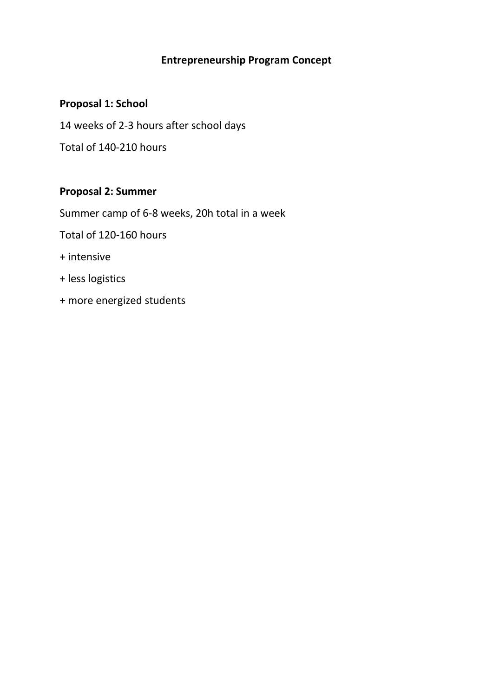# **Entrepreneurship Program Concept**

## **Proposal 1: School**

14 weeks of 2-3 hours after school days

Total of 140-210 hours

# **Proposal 2: Summer**

Summer camp of 6-8 weeks, 20h total in a week

Total of 120-160 hours

- + intensive
- + less logistics
- + more energized students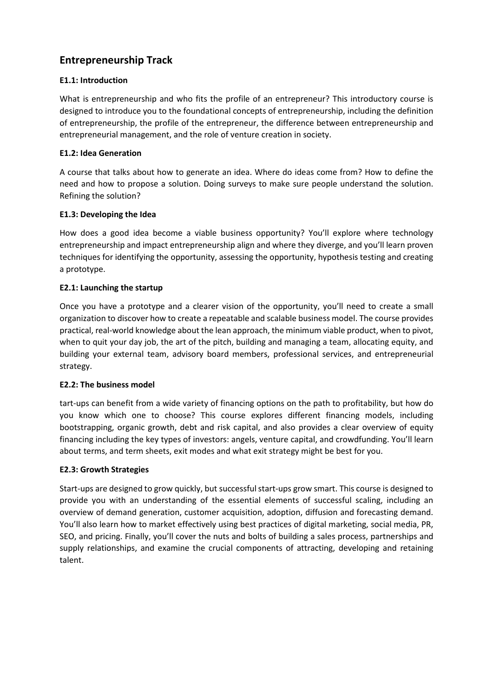# **Entrepreneurship Track**

## **E1.1: Introduction**

What is entrepreneurship and who fits the profile of an entrepreneur? This introductory course is designed to introduce you to the foundational concepts of entrepreneurship, including the definition of entrepreneurship, the profile of the entrepreneur, the difference between entrepreneurship and entrepreneurial management, and the role of venture creation in society.

## **E1.2: Idea Generation**

A course that talks about how to generate an idea. Where do ideas come from? How to define the need and how to propose a solution. Doing surveys to make sure people understand the solution. Refining the solution?

## **E1.3: Developing the Idea**

How does a good idea become a viable business opportunity? You'll explore where technology entrepreneurship and impact entrepreneurship align and where they diverge, and you'll learn proven techniques for identifying the opportunity, assessing the opportunity, hypothesis testing and creating a prototype.

## **E2.1: Launching the startup**

Once you have a prototype and a clearer vision of the opportunity, you'll need to create a small organization to discover how to create a repeatable and scalable business model. The course provides practical, real-world knowledge about the lean approach, the minimum viable product, when to pivot, when to quit your day job, the art of the pitch, building and managing a team, allocating equity, and building your external team, advisory board members, professional services, and entrepreneurial strategy.

## **E2.2: The business model**

tart-ups can benefit from a wide variety of financing options on the path to profitability, but how do you know which one to choose? This course explores different financing models, including bootstrapping, organic growth, debt and risk capital, and also provides a clear overview of equity financing including the key types of investors: angels, venture capital, and crowdfunding. You'll learn about terms, and term sheets, exit modes and what exit strategy might be best for you.

## **E2.3: Growth Strategies**

Start-ups are designed to grow quickly, but successful start-ups grow smart. This course is designed to provide you with an understanding of the essential elements of successful scaling, including an overview of demand generation, customer acquisition, adoption, diffusion and forecasting demand. You'll also learn how to market effectively using best practices of digital marketing, social media, PR, SEO, and pricing. Finally, you'll cover the nuts and bolts of building a sales process, partnerships and supply relationships, and examine the crucial components of attracting, developing and retaining talent.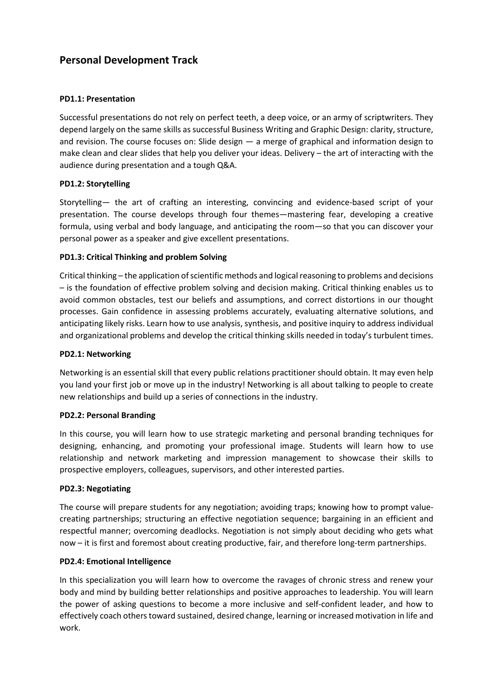## **Personal Development Track**

### **PD1.1: Presentation**

Successful presentations do not rely on perfect teeth, a deep voice, or an army of scriptwriters. They depend largely on the same skills as successful Business Writing and Graphic Design: clarity, structure, and revision. The course focuses on: Slide design — a merge of graphical and information design to make clean and clear slides that help you deliver your ideas. Delivery – the art of interacting with the audience during presentation and a tough Q&A.

### **PD1.2: Storytelling**

Storytelling— the art of crafting an interesting, convincing and evidence-based script of your presentation. The course develops through four themes—mastering fear, developing a creative formula, using verbal and body language, and anticipating the room—so that you can discover your personal power as a speaker and give excellent presentations.

### **PD1.3: Critical Thinking and problem Solving**

Critical thinking – the application of scientific methods and logical reasoning to problems and decisions – is the foundation of effective problem solving and decision making. Critical thinking enables us to avoid common obstacles, test our beliefs and assumptions, and correct distortions in our thought processes. Gain confidence in assessing problems accurately, evaluating alternative solutions, and anticipating likely risks. Learn how to use analysis, synthesis, and positive inquiry to address individual and organizational problems and develop the critical thinking skills needed in today's turbulent times.

#### **PD2.1: Networking**

Networking is an essential skill that every public relations practitioner should obtain. It may even help you land your first job or move up in the industry! Networking is all about talking to people to create new relationships and build up a series of connections in the industry.

#### **PD2.2: Personal Branding**

In this course, you will learn how to use strategic marketing and personal branding techniques for designing, enhancing, and promoting your professional image. Students will learn how to use relationship and network marketing and impression management to showcase their skills to prospective employers, colleagues, supervisors, and other interested parties.

#### **PD2.3: Negotiating**

The course will prepare students for any negotiation; avoiding traps; knowing how to prompt valuecreating partnerships; structuring an effective negotiation sequence; bargaining in an efficient and respectful manner; overcoming deadlocks. Negotiation is not simply about deciding who gets what now – it is first and foremost about creating productive, fair, and therefore long-term partnerships.

#### **PD2.4: Emotional Intelligence**

In this specialization you will learn how to overcome the ravages of chronic stress and renew your body and mind by building better relationships and positive approaches to leadership. You will learn the power of asking questions to become a more inclusive and self-confident leader, and how to effectively coach others toward sustained, desired change, learning or increased motivation in life and work.